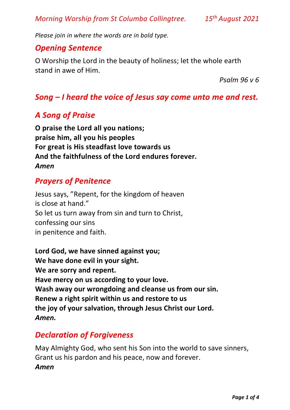*Morning Worship from St Columba Collingtree. 15th August 2021*

*Please join in where the words are in bold type.*

#### *Opening Sentence*

O Worship the Lord in the beauty of holiness; let the whole earth stand in awe of Him.

*Psalm 96 v 6*

#### *Song – I heard the voice of Jesus say come unto me and rest.*

#### *A Song of Praise*

**O praise the Lord all you nations; praise him, all you his peoples For great is His steadfast love towards us And the faithfulness of the Lord endures forever.** *Amen*

#### *Prayers of Penitence*

Jesus says, "Repent, for the kingdom of heaven is close at hand." So let us turn away from sin and turn to Christ, confessing our sins in penitence and faith.

**Lord God, we have sinned against you; We have done evil in your sight. We are sorry and repent. Have mercy on us according to your love. Wash away our wrongdoing and cleanse us from our sin. Renew a right spirit within us and restore to us the joy of your salvation, through Jesus Christ our Lord.** *Amen.*

#### *Declaration of Forgiveness*

May Almighty God, who sent his Son into the world to save sinners, Grant us his pardon and his peace, now and forever. *Amen*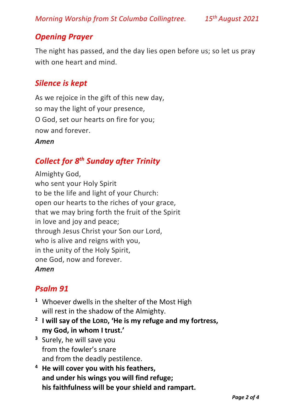*Morning Worship from St Columba Collingtree. 15th August 2021*

## *Opening Prayer*

The night has passed, and the day lies open before us; so let us pray with one heart and mind.

#### *Silence is kept*

As we rejoice in the gift of this new day, so may the light of your presence, O God, set our hearts on fire for you; now and forever. *Amen*

### *Collect for 8 th Sunday after Trinity*

Almighty God, who sent your Holy Spirit to be the life and light of your Church: open our hearts to the riches of your grace, that we may bring forth the fruit of the Spirit in love and joy and peace; through Jesus Christ your Son our Lord, who is alive and reigns with you, in the unity of the Holy Spirit, one God, now and forever. *Amen*

### *Psalm 91*

- **<sup>1</sup>** Whoever dwells in the shelter of the Most High will rest in the shadow of the Almighty.
- **2 I will say of the LORD, 'He is my refuge and my fortress, my God, in whom I trust.'**
- **<sup>3</sup>** Surely, he will save you from the fowler's snare and from the deadly pestilence.
- **<sup>4</sup> He will cover you with his feathers, and under his wings you will find refuge; his faithfulness will be your shield and rampart.**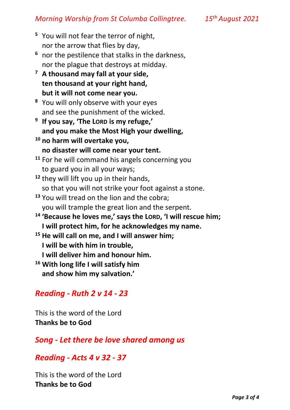- **<sup>5</sup>** You will not fear the terror of night, nor the arrow that flies by day,
- **<sup>6</sup>** nor the pestilence that stalks in the darkness, nor the plague that destroys at midday.
- **<sup>7</sup> A thousand may fall at your side, ten thousand at your right hand, but it will not come near you.**
- **<sup>8</sup>** You will only observe with your eyes and see the punishment of the wicked.
- **9 If you say, 'The LORD is my refuge,' and you make the Most High your dwelling,**
- **<sup>10</sup> no harm will overtake you, no disaster will come near your tent.**
- **<sup>11</sup>** For he will command his angels concerning you to guard you in all your ways;
- **<sup>12</sup>** they will lift you up in their hands, so that you will not strike your foot against a stone.
- **<sup>13</sup>** You will tread on the lion and the cobra; you will trample the great lion and the serpent.
- <sup>14</sup> 'Because he loves me,' says the LORD, 'I will rescue him; **I will protect him, for he acknowledges my name.**
- **<sup>15</sup> He will call on me, and I will answer him; I will be with him in trouble,**
	- **I will deliver him and honour him.**
- **<sup>16</sup> With long life I will satisfy him and show him my salvation.'**

# *Reading - Ruth 2 v 14 - 23*

This is the word of the Lord **Thanks be to God**

*Song - Let there be love shared among us*

### *Reading - Acts 4 v 32 - 37*

This is the word of the Lord **Thanks be to God**